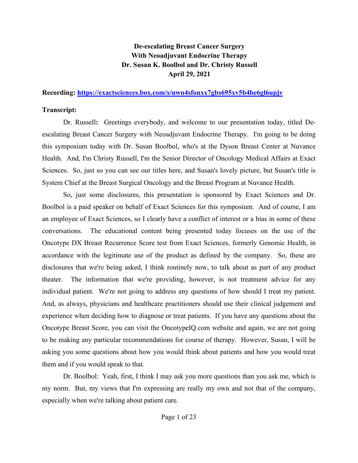## **De-escalating Breast Cancer Surgery With Neoadjuvant Endocrine Therapy Dr. Susan K. Boolbol and Dr. Christy Russell April 29, 2021**

## **Recording:<https://exactsciences.box.com/s/uwn4sfonxx7gbs695xv5b4be6gl6upjv>**

## **Transcript:**

Dr. Russell**:** Greetings everybody, and welcome to our presentation today, titled Deescalating Breast Cancer Surgery with Neoadjuvant Endocrine Therapy. I'm going to be doing this symposium today with Dr. Susan Boolbol, who's at the Dyson Breast Center at Nuvance Health. And, I'm Christy Russell, I'm the Senior Director of Oncology Medical Affairs at Exact Sciences. So, just so you can see our titles here, and Susan's lovely picture, but Susan's title is System Chief at the Breast Surgical Oncology and the Breast Program at Nuvance Health.

So, just some disclosures, this presentation is sponsored by Exact Sciences and Dr. Boolbol is a paid speaker on behalf of Exact Sciences for this symposium. And of course, I am an employee of Exact Sciences, so I clearly have a conflict of interest or a bias in some of these conversations. The educational content being presented today focuses on the use of the Oncotype DX Breast Recurrence Score test from Exact Sciences, formerly Genomic Health, in accordance with the legitimate use of the product as defined by the company. So, these are disclosures that we're being asked, I think routinely now, to talk about as part of any product theater. The information that we're providing, however, is not treatment advice for any individual patient. We're not going to address any questions of how should I treat my patient. And, as always, physicians and healthcare practitioners should use their clinical judgement and experience when deciding how to diagnose or treat patients. If you have any questions about the Oncotype Breast Score, you can visit the OncotypeIQ.com website and again, we are not going to be making any particular recommendations for course of therapy. However, Susan, I will be asking you some questions about how you would think about patients and how you would treat them and if you would speak to that.

Dr. Boolbol: Yeah, first, I think I may ask you more questions than you ask me, which is my norm. But, my views that I'm expressing are really my own and not that of the company, especially when we're talking about patient care.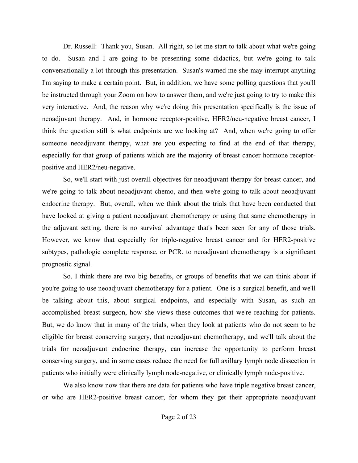Dr. Russell: Thank you, Susan. All right, so let me start to talk about what we're going to do. Susan and I are going to be presenting some didactics, but we're going to talk conversationally a lot through this presentation. Susan's warned me she may interrupt anything I'm saying to make a certain point. But, in addition, we have some polling questions that you'll be instructed through your Zoom on how to answer them, and we're just going to try to make this very interactive. And, the reason why we're doing this presentation specifically is the issue of neoadjuvant therapy. And, in hormone receptor-positive, HER2/neu-negative breast cancer, I think the question still is what endpoints are we looking at? And, when we're going to offer someone neoadjuvant therapy, what are you expecting to find at the end of that therapy, especially for that group of patients which are the majority of breast cancer hormone receptorpositive and HER2/neu-negative.

So, we'll start with just overall objectives for neoadjuvant therapy for breast cancer, and we're going to talk about neoadjuvant chemo, and then we're going to talk about neoadjuvant endocrine therapy. But, overall, when we think about the trials that have been conducted that have looked at giving a patient neoadjuvant chemotherapy or using that same chemotherapy in the adjuvant setting, there is no survival advantage that's been seen for any of those trials. However, we know that especially for triple-negative breast cancer and for HER2-positive subtypes, pathologic complete response, or PCR, to neoadjuvant chemotherapy is a significant prognostic signal.

So, I think there are two big benefits, or groups of benefits that we can think about if you're going to use neoadjuvant chemotherapy for a patient. One is a surgical benefit, and we'll be talking about this, about surgical endpoints, and especially with Susan, as such an accomplished breast surgeon, how she views these outcomes that we're reaching for patients. But, we do know that in many of the trials, when they look at patients who do not seem to be eligible for breast conserving surgery, that neoadjuvant chemotherapy, and we'll talk about the trials for neoadjuvant endocrine therapy, can increase the opportunity to perform breast conserving surgery, and in some cases reduce the need for full axillary lymph node dissection in patients who initially were clinically lymph node-negative, or clinically lymph node-positive.

We also know now that there are data for patients who have triple negative breast cancer, or who are HER2-positive breast cancer, for whom they get their appropriate neoadjuvant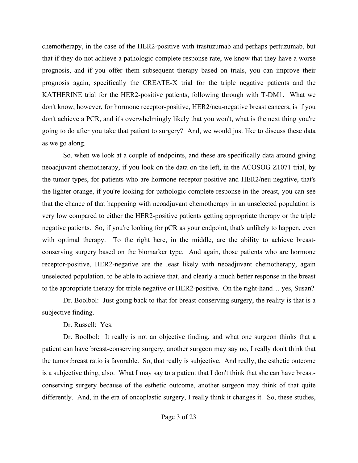chemotherapy, in the case of the HER2-positive with trastuzumab and perhaps pertuzumab, but that if they do not achieve a pathologic complete response rate, we know that they have a worse prognosis, and if you offer them subsequent therapy based on trials, you can improve their prognosis again, specifically the CREATE-X trial for the triple negative patients and the KATHERINE trial for the HER2-positive patients, following through with T-DM1. What we don't know, however, for hormone receptor-positive, HER2/neu-negative breast cancers, is if you don't achieve a PCR, and it's overwhelmingly likely that you won't, what is the next thing you're going to do after you take that patient to surgery? And, we would just like to discuss these data as we go along.

So, when we look at a couple of endpoints, and these are specifically data around giving neoadjuvant chemotherapy, if you look on the data on the left, in the ACOSOG Z1071 trial, by the tumor types, for patients who are hormone receptor-positive and HER2/neu-negative, that's the lighter orange, if you're looking for pathologic complete response in the breast, you can see that the chance of that happening with neoadjuvant chemotherapy in an unselected population is very low compared to either the HER2-positive patients getting appropriate therapy or the triple negative patients. So, if you're looking for pCR as your endpoint, that's unlikely to happen, even with optimal therapy. To the right here, in the middle, are the ability to achieve breastconserving surgery based on the biomarker type. And again, those patients who are hormone receptor-positive, HER2-negative are the least likely with neoadjuvant chemotherapy, again unselected population, to be able to achieve that, and clearly a much better response in the breast to the appropriate therapy for triple negative or HER2-positive. On the right-hand… yes, Susan?

Dr. Boolbol: Just going back to that for breast-conserving surgery, the reality is that is a subjective finding.

Dr. Russell: Yes.

Dr. Boolbol: It really is not an objective finding, and what one surgeon thinks that a patient can have breast-conserving surgery, another surgeon may say no, I really don't think that the tumor:breast ratio is favorable. So, that really is subjective. And really, the esthetic outcome is a subjective thing, also. What I may say to a patient that I don't think that she can have breastconserving surgery because of the esthetic outcome, another surgeon may think of that quite differently. And, in the era of oncoplastic surgery, I really think it changes it. So, these studies,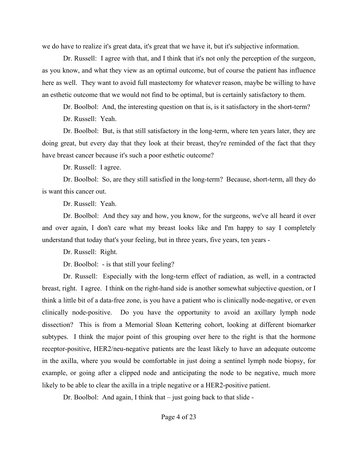we do have to realize it's great data, it's great that we have it, but it's subjective information.

Dr. Russell: I agree with that, and I think that it's not only the perception of the surgeon, as you know, and what they view as an optimal outcome, but of course the patient has influence here as well. They want to avoid full mastectomy for whatever reason, maybe be willing to have an esthetic outcome that we would not find to be optimal, but is certainly satisfactory to them.

Dr. Boolbol: And, the interesting question on that is, is it satisfactory in the short-term?

Dr. Russell: Yeah.

Dr. Boolbol: But, is that still satisfactory in the long-term, where ten years later, they are doing great, but every day that they look at their breast, they're reminded of the fact that they have breast cancer because it's such a poor esthetic outcome?

Dr. Russell: I agree.

Dr. Boolbol: So, are they still satisfied in the long-term? Because, short-term, all they do is want this cancer out.

Dr. Russell: Yeah.

Dr. Boolbol: And they say and how, you know, for the surgeons, we've all heard it over and over again, I don't care what my breast looks like and I'm happy to say I completely understand that today that's your feeling, but in three years, five years, ten years -

Dr. Russell: Right.

Dr. Boolbol: - is that still your feeling?

Dr. Russell: Especially with the long-term effect of radiation, as well, in a contracted breast, right. I agree. I think on the right-hand side is another somewhat subjective question, or I think a little bit of a data-free zone, is you have a patient who is clinically node-negative, or even clinically node-positive. Do you have the opportunity to avoid an axillary lymph node dissection? This is from a Memorial Sloan Kettering cohort, looking at different biomarker subtypes. I think the major point of this grouping over here to the right is that the hormone receptor-positive, HER2/neu-negative patients are the least likely to have an adequate outcome in the axilla, where you would be comfortable in just doing a sentinel lymph node biopsy, for example, or going after a clipped node and anticipating the node to be negative, much more likely to be able to clear the axilla in a triple negative or a HER2-positive patient.

Dr. Boolbol: And again, I think that – just going back to that slide -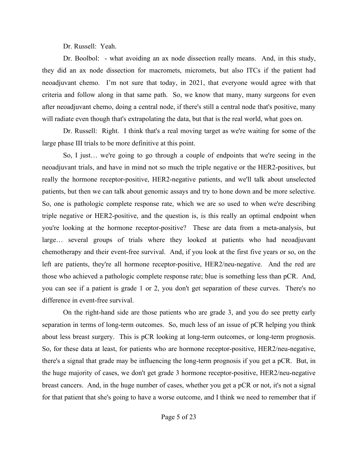Dr. Russell: Yeah.

Dr. Boolbol: - what avoiding an ax node dissection really means. And, in this study, they did an ax node dissection for macromets, micromets, but also ITCs if the patient had neoadjuvant chemo. I'm not sure that today, in 2021, that everyone would agree with that criteria and follow along in that same path. So, we know that many, many surgeons for even after neoadjuvant chemo, doing a central node, if there's still a central node that's positive, many will radiate even though that's extrapolating the data, but that is the real world, what goes on.

Dr. Russell: Right. I think that's a real moving target as we're waiting for some of the large phase III trials to be more definitive at this point.

So, I just… we're going to go through a couple of endpoints that we're seeing in the neoadjuvant trials, and have in mind not so much the triple negative or the HER2-positives, but really the hormone receptor-positive, HER2-negative patients, and we'll talk about unselected patients, but then we can talk about genomic assays and try to hone down and be more selective. So, one is pathologic complete response rate, which we are so used to when we're describing triple negative or HER2-positive, and the question is, is this really an optimal endpoint when you're looking at the hormone receptor-positive? These are data from a meta-analysis, but large… several groups of trials where they looked at patients who had neoadjuvant chemotherapy and their event-free survival. And, if you look at the first five years or so, on the left are patients, they're all hormone receptor-positive, HER2/neu-negative. And the red are those who achieved a pathologic complete response rate; blue is something less than pCR. And, you can see if a patient is grade 1 or 2, you don't get separation of these curves. There's no difference in event-free survival.

On the right-hand side are those patients who are grade 3, and you do see pretty early separation in terms of long-term outcomes. So, much less of an issue of pCR helping you think about less breast surgery. This is pCR looking at long-term outcomes, or long-term prognosis. So, for these data at least, for patients who are hormone receptor-positive, HER2/neu-negative, there's a signal that grade may be influencing the long-term prognosis if you get a pCR. But, in the huge majority of cases, we don't get grade 3 hormone receptor-positive, HER2/neu-negative breast cancers. And, in the huge number of cases, whether you get a pCR or not, it's not a signal for that patient that she's going to have a worse outcome, and I think we need to remember that if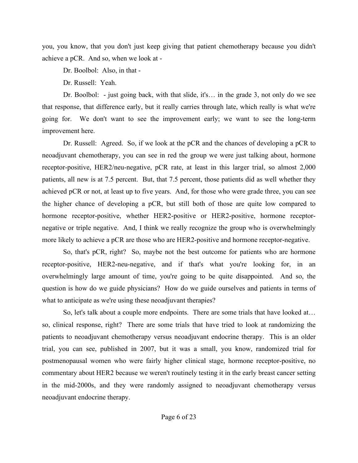you, you know, that you don't just keep giving that patient chemotherapy because you didn't achieve a pCR. And so, when we look at -

Dr. Boolbol: Also, in that -

Dr. Russell: Yeah.

Dr. Boolbol: - just going back, with that slide, it's… in the grade 3, not only do we see that response, that difference early, but it really carries through late, which really is what we're going for. We don't want to see the improvement early; we want to see the long-term improvement here.

Dr. Russell: Agreed. So, if we look at the pCR and the chances of developing a pCR to neoadjuvant chemotherapy, you can see in red the group we were just talking about, hormone receptor-positive, HER2/neu-negative, pCR rate, at least in this larger trial, so almost 2,000 patients, all new is at 7.5 percent. But, that 7.5 percent, those patients did as well whether they achieved pCR or not, at least up to five years. And, for those who were grade three, you can see the higher chance of developing a pCR, but still both of those are quite low compared to hormone receptor-positive, whether HER2-positive or HER2-positive, hormone receptornegative or triple negative. And, I think we really recognize the group who is overwhelmingly more likely to achieve a pCR are those who are HER2-positive and hormone receptor-negative.

So, that's pCR, right? So, maybe not the best outcome for patients who are hormone receptor-positive, HER2-neu-negative, and if that's what you're looking for, in an overwhelmingly large amount of time, you're going to be quite disappointed. And so, the question is how do we guide physicians? How do we guide ourselves and patients in terms of what to anticipate as we're using these neoadjuvant therapies?

So, let's talk about a couple more endpoints. There are some trials that have looked at… so, clinical response, right? There are some trials that have tried to look at randomizing the patients to neoadjuvant chemotherapy versus neoadjuvant endocrine therapy. This is an older trial, you can see, published in 2007, but it was a small, you know, randomized trial for postmenopausal women who were fairly higher clinical stage, hormone receptor-positive, no commentary about HER2 because we weren't routinely testing it in the early breast cancer setting in the mid-2000s, and they were randomly assigned to neoadjuvant chemotherapy versus neoadjuvant endocrine therapy.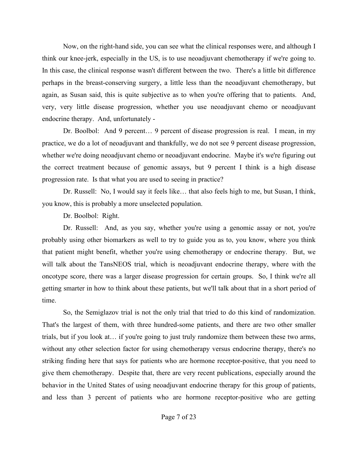Now, on the right-hand side, you can see what the clinical responses were, and although I think our knee-jerk, especially in the US, is to use neoadjuvant chemotherapy if we're going to. In this case, the clinical response wasn't different between the two. There's a little bit difference perhaps in the breast-conserving surgery, a little less than the neoadjuvant chemotherapy, but again, as Susan said, this is quite subjective as to when you're offering that to patients. And, very, very little disease progression, whether you use neoadjuvant chemo or neoadjuvant endocrine therapy. And, unfortunately -

Dr. Boolbol: And 9 percent… 9 percent of disease progression is real. I mean, in my practice, we do a lot of neoadjuvant and thankfully, we do not see 9 percent disease progression, whether we're doing neoadjuvant chemo or neoadjuvant endocrine. Maybe it's we're figuring out the correct treatment because of genomic assays, but 9 percent I think is a high disease progression rate. Is that what you are used to seeing in practice?

Dr. Russell: No, I would say it feels like… that also feels high to me, but Susan, I think, you know, this is probably a more unselected population.

Dr. Boolbol: Right.

Dr. Russell: And, as you say, whether you're using a genomic assay or not, you're probably using other biomarkers as well to try to guide you as to, you know, where you think that patient might benefit, whether you're using chemotherapy or endocrine therapy. But, we will talk about the TansNEOS trial, which is neoadjuvant endocrine therapy, where with the oncotype score, there was a larger disease progression for certain groups. So, I think we're all getting smarter in how to think about these patients, but we'll talk about that in a short period of time.

So, the Semiglazov trial is not the only trial that tried to do this kind of randomization. That's the largest of them, with three hundred-some patients, and there are two other smaller trials, but if you look at… if you're going to just truly randomize them between these two arms, without any other selection factor for using chemotherapy versus endocrine therapy, there's no striking finding here that says for patients who are hormone receptor-positive, that you need to give them chemotherapy. Despite that, there are very recent publications, especially around the behavior in the United States of using neoadjuvant endocrine therapy for this group of patients, and less than 3 percent of patients who are hormone receptor-positive who are getting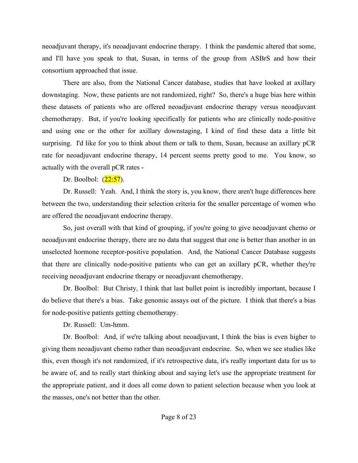neoadjuvant therapy, it's neoadjuvant endocrine therapy. I think the pandemic altered that some, and I'll have you speak to that, Susan, in terms of the group from ASBrS and how their consortium approached that issue.

There are also, from the National Cancer database, studies that have looked at axillary downstaging. Now, these patients are not randomized, right? So, there's a huge bias here within these datasets of patients who are offered neoadjuvant endocrine therapy versus neoadjuvant chemotherapy. But, if you're looking specifically for patients who are clinically node-positive and using one or the other for axillary downstaging, I kind of find these data a little bit surprising. I'd like for you to think about them or talk to them, Susan, because an axillary pCR rate for neoadjuvant endocrine therapy, 14 percent seems pretty good to me. You know, so actually with the overall pCR rates -

Dr. Boolbol:  $(22:57)$ .

Dr. Russell: Yeah. And, I think the story is, you know, there aren't huge differences here between the two, understanding their selection criteria for the smaller percentage of women who are offered the neoadjuvant endocrine therapy.

So, just overall with that kind of grouping, if you're going to give neoadjuvant chemo or neoadjuvant endocrine therapy, there are no data that suggest that one is better than another in an unselected hormone receptor-positive population. And, the National Cancer Database suggests that there are clinically node-positive patients who can get an axillary pCR, whether they're receiving neoadjuvant endocrine therapy or neoadjuvant chemotherapy.

Dr. Boolbol: But Christy, I think that last bullet point is incredibly important, because I do believe that there's a bias. Take genomic assays out of the picture. I think that there's a bias for node-positive patients getting chemotherapy.

Dr. Russell: Um-hmm.

Dr. Boolbol: And, if we're talking about neoadjuvant, I think the bias is even higher to giving them neoadjuvant chemo rather than neoadjuvant endocrine. So, when we see studies like this, even though it's not randomized, if it's retrospective data, it's really important data for us to be aware of, and to really start thinking about and saying let's use the appropriate treatment for the appropriate patient, and it does all come down to patient selection because when you look at the masses, one's not better than the other.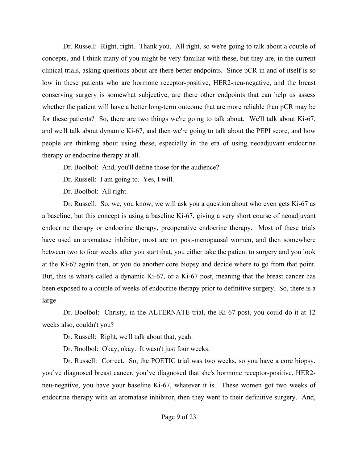Dr. Russell: Right, right. Thank you. All right, so we're going to talk about a couple of concepts, and I think many of you might be very familiar with these, but they are, in the current clinical trials, asking questions about are there better endpoints. Since pCR in and of itself is so low in these patients who are hormone receptor-positive, HER2-neu-negative, and the breast conserving surgery is somewhat subjective, are there other endpoints that can help us assess whether the patient will have a better long-term outcome that are more reliable than pCR may be for these patients? So, there are two things we're going to talk about. We'll talk about Ki-67, and we'll talk about dynamic Ki-67, and then we're going to talk about the PEPI score, and how people are thinking about using these, especially in the era of using neoadjuvant endocrine therapy or endocrine therapy at all.

Dr. Boolbol: And, you'll define those for the audience?

Dr. Russell: I am going to. Yes, I will.

Dr. Boolbol: All right.

Dr. Russell: So, we, you know, we will ask you a question about who even gets Ki-67 as a baseline, but this concept is using a baseline Ki-67, giving a very short course of neoadjuvant endocrine therapy or endocrine therapy, preoperative endocrine therapy. Most of these trials have used an aromatase inhibitor, most are on post-menopausal women, and then somewhere between two to four weeks after you start that, you either take the patient to surgery and you look at the Ki-67 again then, or you do another core biopsy and decide where to go from that point. But, this is what's called a dynamic Ki-67, or a Ki-67 post, meaning that the breast cancer has been exposed to a couple of weeks of endocrine therapy prior to definitive surgery. So, there is a large -

Dr. Boolbol: Christy, in the ALTERNATE trial, the Ki-67 post, you could do it at 12 weeks also, couldn't you?

Dr. Russell: Right, we'll talk about that, yeah.

Dr. Boolbol: Okay, okay. It wasn't just four weeks.

Dr. Russell: Correct. So, the POETIC trial was two weeks, so you have a core biopsy, you've diagnosed breast cancer, you've diagnosed that she's hormone receptor-positive, HER2 neu-negative, you have your baseline Ki-67, whatever it is. These women got two weeks of endocrine therapy with an aromatase inhibitor, then they went to their definitive surgery. And,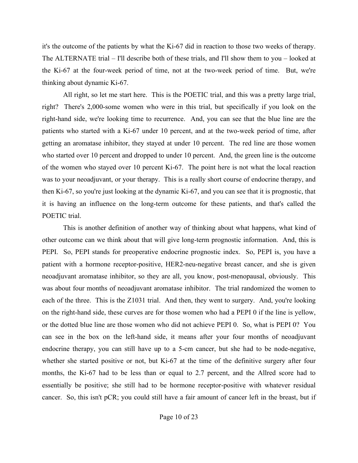it's the outcome of the patients by what the Ki-67 did in reaction to those two weeks of therapy. The ALTERNATE trial – I'll describe both of these trials, and I'll show them to you – looked at the Ki-67 at the four-week period of time, not at the two-week period of time. But, we're thinking about dynamic Ki-67.

All right, so let me start here. This is the POETIC trial, and this was a pretty large trial, right? There's 2,000-some women who were in this trial, but specifically if you look on the right-hand side, we're looking time to recurrence. And, you can see that the blue line are the patients who started with a Ki-67 under 10 percent, and at the two-week period of time, after getting an aromatase inhibitor, they stayed at under 10 percent. The red line are those women who started over 10 percent and dropped to under 10 percent. And, the green line is the outcome of the women who stayed over 10 percent Ki-67. The point here is not what the local reaction was to your neoadjuvant, or your therapy. This is a really short course of endocrine therapy, and then Ki-67, so you're just looking at the dynamic Ki-67, and you can see that it is prognostic, that it is having an influence on the long-term outcome for these patients, and that's called the POETIC trial.

This is another definition of another way of thinking about what happens, what kind of other outcome can we think about that will give long-term prognostic information. And, this is PEPI. So, PEPI stands for preoperative endocrine prognostic index. So, PEPI is, you have a patient with a hormone receptor-positive, HER2-neu-negative breast cancer, and she is given neoadjuvant aromatase inhibitor, so they are all, you know, post-menopausal, obviously. This was about four months of neoadjuvant aromatase inhibitor. The trial randomized the women to each of the three. This is the Z1031 trial. And then, they went to surgery. And, you're looking on the right-hand side, these curves are for those women who had a PEPI 0 if the line is yellow, or the dotted blue line are those women who did not achieve PEPI 0. So, what is PEPI 0? You can see in the box on the left-hand side, it means after your four months of neoadjuvant endocrine therapy, you can still have up to a 5-cm cancer, but she had to be node-negative, whether she started positive or not, but Ki-67 at the time of the definitive surgery after four months, the Ki-67 had to be less than or equal to 2.7 percent, and the Allred score had to essentially be positive; she still had to be hormone receptor-positive with whatever residual cancer. So, this isn't pCR; you could still have a fair amount of cancer left in the breast, but if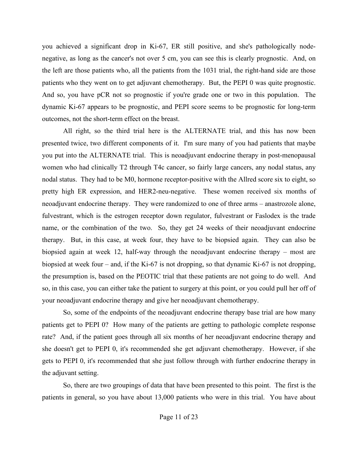you achieved a significant drop in Ki-67, ER still positive, and she's pathologically nodenegative, as long as the cancer's not over 5 cm, you can see this is clearly prognostic. And, on the left are those patients who, all the patients from the 1031 trial, the right-hand side are those patients who they went on to get adjuvant chemotherapy. But, the PEPI 0 was quite prognostic. And so, you have pCR not so prognostic if you're grade one or two in this population. The dynamic Ki-67 appears to be prognostic, and PEPI score seems to be prognostic for long-term outcomes, not the short-term effect on the breast.

All right, so the third trial here is the ALTERNATE trial, and this has now been presented twice, two different components of it. I'm sure many of you had patients that maybe you put into the ALTERNATE trial. This is neoadjuvant endocrine therapy in post-menopausal women who had clinically T2 through T4c cancer, so fairly large cancers, any nodal status, any nodal status. They had to be M0, hormone receptor-positive with the Allred score six to eight, so pretty high ER expression, and HER2-neu-negative. These women received six months of neoadjuvant endocrine therapy. They were randomized to one of three arms – anastrozole alone, fulvestrant, which is the estrogen receptor down regulator, fulvestrant or Faslodex is the trade name, or the combination of the two. So, they get 24 weeks of their neoadjuvant endocrine therapy. But, in this case, at week four, they have to be biopsied again. They can also be biopsied again at week 12, half-way through the neoadjuvant endocrine therapy – most are biopsied at week four – and, if the Ki-67 is not dropping, so that dynamic Ki-67 is not dropping, the presumption is, based on the PEOTIC trial that these patients are not going to do well. And so, in this case, you can either take the patient to surgery at this point, or you could pull her off of your neoadjuvant endocrine therapy and give her neoadjuvant chemotherapy.

So, some of the endpoints of the neoadjuvant endocrine therapy base trial are how many patients get to PEPI 0? How many of the patients are getting to pathologic complete response rate? And, if the patient goes through all six months of her neoadjuvant endocrine therapy and she doesn't get to PEPI 0, it's recommended she get adjuvant chemotherapy. However, if she gets to PEPI 0, it's recommended that she just follow through with further endocrine therapy in the adjuvant setting.

So, there are two groupings of data that have been presented to this point. The first is the patients in general, so you have about 13,000 patients who were in this trial. You have about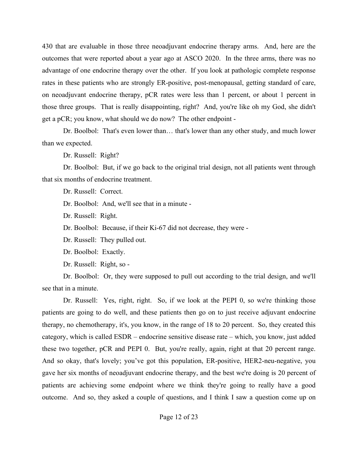430 that are evaluable in those three neoadjuvant endocrine therapy arms. And, here are the outcomes that were reported about a year ago at ASCO 2020. In the three arms, there was no advantage of one endocrine therapy over the other. If you look at pathologic complete response rates in these patients who are strongly ER-positive, post-menopausal, getting standard of care, on neoadjuvant endocrine therapy, pCR rates were less than 1 percent, or about 1 percent in those three groups. That is really disappointing, right? And, you're like oh my God, she didn't get a pCR; you know, what should we do now? The other endpoint -

Dr. Boolbol: That's even lower than… that's lower than any other study, and much lower than we expected.

Dr. Russell: Right?

Dr. Boolbol: But, if we go back to the original trial design, not all patients went through that six months of endocrine treatment.

Dr. Russell: Correct.

Dr. Boolbol: And, we'll see that in a minute -

Dr. Russell: Right.

Dr. Boolbol: Because, if their Ki-67 did not decrease, they were -

Dr. Russell: They pulled out.

Dr. Boolbol: Exactly.

Dr. Russell: Right, so -

Dr. Boolbol: Or, they were supposed to pull out according to the trial design, and we'll see that in a minute.

Dr. Russell: Yes, right, right. So, if we look at the PEPI 0, so we're thinking those patients are going to do well, and these patients then go on to just receive adjuvant endocrine therapy, no chemotherapy, it's, you know, in the range of 18 to 20 percent. So, they created this category, which is called ESDR – endocrine sensitive disease rate – which, you know, just added these two together, pCR and PEPI 0. But, you're really, again, right at that 20 percent range. And so okay, that's lovely; you've got this population, ER-positive, HER2-neu-negative, you gave her six months of neoadjuvant endocrine therapy, and the best we're doing is 20 percent of patients are achieving some endpoint where we think they're going to really have a good outcome. And so, they asked a couple of questions, and I think I saw a question come up on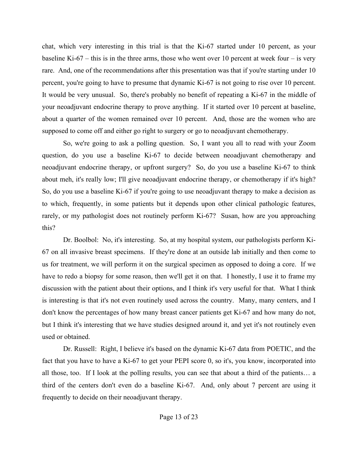chat, which very interesting in this trial is that the Ki-67 started under 10 percent, as your baseline Ki-67 – this is in the three arms, those who went over 10 percent at week four – is very rare. And, one of the recommendations after this presentation was that if you're starting under 10 percent, you're going to have to presume that dynamic Ki-67 is not going to rise over 10 percent. It would be very unusual. So, there's probably no benefit of repeating a Ki-67 in the middle of your neoadjuvant endocrine therapy to prove anything. If it started over 10 percent at baseline, about a quarter of the women remained over 10 percent. And, those are the women who are supposed to come off and either go right to surgery or go to neoadjuvant chemotherapy.

So, we're going to ask a polling question. So, I want you all to read with your Zoom question, do you use a baseline Ki-67 to decide between neoadjuvant chemotherapy and neoadjuvant endocrine therapy, or upfront surgery? So, do you use a baseline Ki-67 to think about meh, it's really low; I'll give neoadjuvant endocrine therapy, or chemotherapy if it's high? So, do you use a baseline Ki-67 if you're going to use neoadjuvant therapy to make a decision as to which, frequently, in some patients but it depends upon other clinical pathologic features, rarely, or my pathologist does not routinely perform Ki-67? Susan, how are you approaching this?

Dr. Boolbol: No, it's interesting. So, at my hospital system, our pathologists perform Ki-67 on all invasive breast specimens. If they're done at an outside lab initially and then come to us for treatment, we will perform it on the surgical specimen as opposed to doing a core. If we have to redo a biopsy for some reason, then we'll get it on that. I honestly, I use it to frame my discussion with the patient about their options, and I think it's very useful for that. What I think is interesting is that it's not even routinely used across the country. Many, many centers, and I don't know the percentages of how many breast cancer patients get Ki-67 and how many do not, but I think it's interesting that we have studies designed around it, and yet it's not routinely even used or obtained.

Dr. Russell: Right, I believe it's based on the dynamic Ki-67 data from POETIC, and the fact that you have to have a Ki-67 to get your PEPI score 0, so it's, you know, incorporated into all those, too. If I look at the polling results, you can see that about a third of the patients… a third of the centers don't even do a baseline Ki-67. And, only about 7 percent are using it frequently to decide on their neoadjuvant therapy.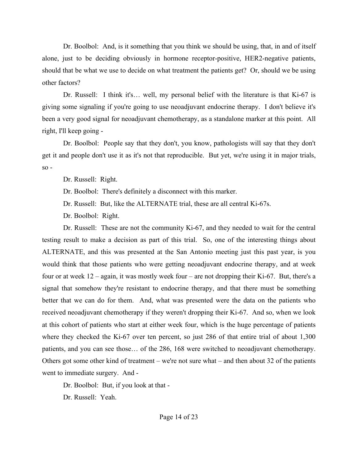Dr. Boolbol: And, is it something that you think we should be using, that, in and of itself alone, just to be deciding obviously in hormone receptor-positive, HER2-negative patients, should that be what we use to decide on what treatment the patients get? Or, should we be using other factors?

Dr. Russell: I think it's... well, my personal belief with the literature is that Ki-67 is giving some signaling if you're going to use neoadjuvant endocrine therapy. I don't believe it's been a very good signal for neoadjuvant chemotherapy, as a standalone marker at this point. All right, I'll keep going -

Dr. Boolbol: People say that they don't, you know, pathologists will say that they don't get it and people don't use it as it's not that reproducible. But yet, we're using it in major trials,  $so -$ 

Dr. Russell: Right.

Dr. Boolbol: There's definitely a disconnect with this marker.

Dr. Russell: But, like the ALTERNATE trial, these are all central Ki-67s.

Dr. Boolbol: Right.

Dr. Russell: These are not the community Ki-67, and they needed to wait for the central testing result to make a decision as part of this trial. So, one of the interesting things about ALTERNATE, and this was presented at the San Antonio meeting just this past year, is you would think that those patients who were getting neoadjuvant endocrine therapy, and at week four or at week 12 – again, it was mostly week four – are not dropping their Ki-67. But, there's a signal that somehow they're resistant to endocrine therapy, and that there must be something better that we can do for them. And, what was presented were the data on the patients who received neoadjuvant chemotherapy if they weren't dropping their Ki-67. And so, when we look at this cohort of patients who start at either week four, which is the huge percentage of patients where they checked the Ki-67 over ten percent, so just 286 of that entire trial of about 1,300 patients, and you can see those… of the 286, 168 were switched to neoadjuvant chemotherapy. Others got some other kind of treatment – we're not sure what – and then about 32 of the patients went to immediate surgery. And -

Dr. Boolbol: But, if you look at that -

Dr. Russell: Yeah.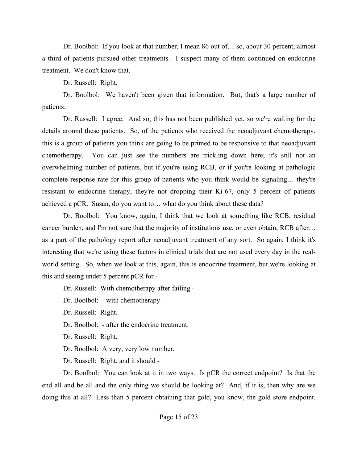Dr. Boolbol: If you look at that number, I mean 86 out of… so, about 30 percent, almost a third of patients pursued other treatments. I suspect many of them continued on endocrine treatment. We don't know that.

Dr. Russell: Right.

Dr. Boolbol: We haven't been given that information. But, that's a large number of patients.

Dr. Russell: I agree. And so, this has not been published yet, so we're waiting for the details around these patients. So, of the patients who received the neoadjuvant chemotherapy, this is a group of patients you think are going to be primed to be responsive to that neoadjuvant chemotherapy. You can just see the numbers are trickling down here; it's still not an overwhelming number of patients, but if you're using RCB, or if you're looking at pathologic complete response rate for this group of patients who you think would be signaling… they're resistant to endocrine therapy, they're not dropping their Ki-67, only 5 percent of patients achieved a pCR. Susan, do you want to… what do you think about these data?

Dr. Boolbol: You know, again, I think that we look at something like RCB, residual cancer burden, and I'm not sure that the majority of institutions use, or even obtain, RCB after… as a part of the pathology report after neoadjuvant treatment of any sort. So again, I think it's interesting that we're using these factors in clinical trials that are not used every day in the realworld setting. So, when we look at this, again, this is endocrine treatment, but we're looking at this and seeing under 5 percent pCR for -

Dr. Russell: With chemotherapy after failing -

Dr. Boolbol: - with chemotherapy -

Dr. Russell: Right.

Dr. Boolbol: - after the endocrine treatment.

Dr. Russell: Right.

Dr. Boolbol: A very, very low number.

Dr. Russell: Right, and it should -

Dr. Boolbol: You can look at it in two ways. Is pCR the correct endpoint? Is that the end all and be all and the only thing we should be looking at? And, if it is, then why are we doing this at all? Less than 5 percent obtaining that gold, you know, the gold store endpoint.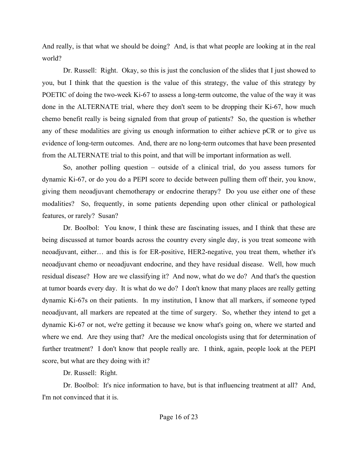And really, is that what we should be doing? And, is that what people are looking at in the real world?

Dr. Russell: Right. Okay, so this is just the conclusion of the slides that I just showed to you, but I think that the question is the value of this strategy, the value of this strategy by POETIC of doing the two-week Ki-67 to assess a long-term outcome, the value of the way it was done in the ALTERNATE trial, where they don't seem to be dropping their Ki-67, how much chemo benefit really is being signaled from that group of patients? So, the question is whether any of these modalities are giving us enough information to either achieve pCR or to give us evidence of long-term outcomes. And, there are no long-term outcomes that have been presented from the ALTERNATE trial to this point, and that will be important information as well.

So, another polling question – outside of a clinical trial, do you assess tumors for dynamic Ki-67, or do you do a PEPI score to decide between pulling them off their, you know, giving them neoadjuvant chemotherapy or endocrine therapy? Do you use either one of these modalities? So, frequently, in some patients depending upon other clinical or pathological features, or rarely? Susan?

Dr. Boolbol: You know, I think these are fascinating issues, and I think that these are being discussed at tumor boards across the country every single day, is you treat someone with neoadjuvant, either… and this is for ER-positive, HER2-negative, you treat them, whether it's neoadjuvant chemo or neoadjuvant endocrine, and they have residual disease. Well, how much residual disease? How are we classifying it? And now, what do we do? And that's the question at tumor boards every day. It is what do we do? I don't know that many places are really getting dynamic Ki-67s on their patients. In my institution, I know that all markers, if someone typed neoadjuvant, all markers are repeated at the time of surgery. So, whether they intend to get a dynamic Ki-67 or not, we're getting it because we know what's going on, where we started and where we end. Are they using that? Are the medical oncologists using that for determination of further treatment? I don't know that people really are. I think, again, people look at the PEPI score, but what are they doing with it?

Dr. Russell: Right.

Dr. Boolbol: It's nice information to have, but is that influencing treatment at all? And, I'm not convinced that it is.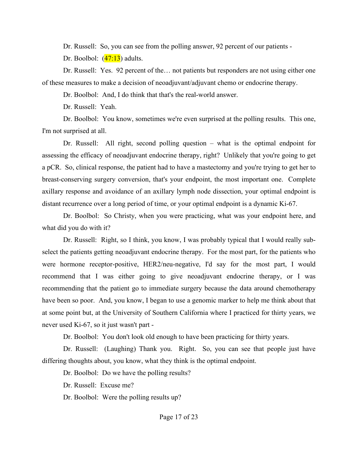Dr. Russell: So, you can see from the polling answer, 92 percent of our patients -

Dr. Boolbol:  $(47:13)$  adults.

Dr. Russell: Yes. 92 percent of the… not patients but responders are not using either one of these measures to make a decision of neoadjuvant/adjuvant chemo or endocrine therapy.

Dr. Boolbol: And, I do think that that's the real-world answer.

Dr. Russell: Yeah.

Dr. Boolbol: You know, sometimes we're even surprised at the polling results. This one, I'm not surprised at all.

Dr. Russell: All right, second polling question – what is the optimal endpoint for assessing the efficacy of neoadjuvant endocrine therapy, right? Unlikely that you're going to get a pCR. So, clinical response, the patient had to have a mastectomy and you're trying to get her to breast-conserving surgery conversion, that's your endpoint, the most important one. Complete axillary response and avoidance of an axillary lymph node dissection, your optimal endpoint is distant recurrence over a long period of time, or your optimal endpoint is a dynamic Ki-67.

Dr. Boolbol: So Christy, when you were practicing, what was your endpoint here, and what did you do with it?

Dr. Russell: Right, so I think, you know, I was probably typical that I would really subselect the patients getting neoadjuvant endocrine therapy. For the most part, for the patients who were hormone receptor-positive, HER2/neu-negative, I'd say for the most part, I would recommend that I was either going to give neoadjuvant endocrine therapy, or I was recommending that the patient go to immediate surgery because the data around chemotherapy have been so poor. And, you know, I began to use a genomic marker to help me think about that at some point but, at the University of Southern California where I practiced for thirty years, we never used Ki-67, so it just wasn't part -

Dr. Boolbol: You don't look old enough to have been practicing for thirty years.

Dr. Russell: (Laughing) Thank you. Right. So, you can see that people just have differing thoughts about, you know, what they think is the optimal endpoint.

Dr. Boolbol: Do we have the polling results?

Dr. Russell: Excuse me?

Dr. Boolbol: Were the polling results up?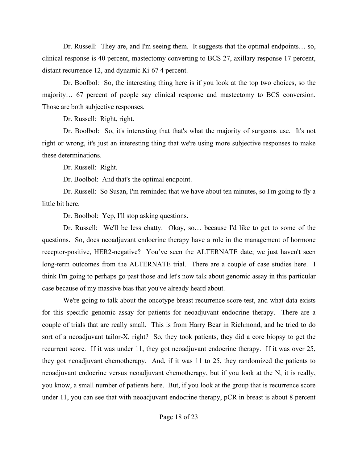Dr. Russell: They are, and I'm seeing them. It suggests that the optimal endpoints... so, clinical response is 40 percent, mastectomy converting to BCS 27, axillary response 17 percent, distant recurrence 12, and dynamic Ki-67 4 percent.

Dr. Boolbol: So, the interesting thing here is if you look at the top two choices, so the majority… 67 percent of people say clinical response and mastectomy to BCS conversion. Those are both subjective responses.

Dr. Russell: Right, right.

Dr. Boolbol: So, it's interesting that that's what the majority of surgeons use. It's not right or wrong, it's just an interesting thing that we're using more subjective responses to make these determinations.

Dr. Russell: Right.

Dr. Boolbol: And that's the optimal endpoint.

Dr. Russell: So Susan, I'm reminded that we have about ten minutes, so I'm going to fly a little bit here.

Dr. Boolbol: Yep, I'll stop asking questions.

Dr. Russell: We'll be less chatty. Okay, so… because I'd like to get to some of the questions. So, does neoadjuvant endocrine therapy have a role in the management of hormone receptor-positive, HER2-negative? You've seen the ALTERNATE date; we just haven't seen long-term outcomes from the ALTERNATE trial. There are a couple of case studies here. I think I'm going to perhaps go past those and let's now talk about genomic assay in this particular case because of my massive bias that you've already heard about.

We're going to talk about the oncotype breast recurrence score test, and what data exists for this specific genomic assay for patients for neoadjuvant endocrine therapy. There are a couple of trials that are really small. This is from Harry Bear in Richmond, and he tried to do sort of a neoadjuvant tailor-X, right? So, they took patients, they did a core biopsy to get the recurrent score. If it was under 11, they got neoadjuvant endocrine therapy. If it was over 25, they got neoadjuvant chemotherapy. And, if it was 11 to 25, they randomized the patients to neoadjuvant endocrine versus neoadjuvant chemotherapy, but if you look at the N, it is really, you know, a small number of patients here. But, if you look at the group that is recurrence score under 11, you can see that with neoadjuvant endocrine therapy, pCR in breast is about 8 percent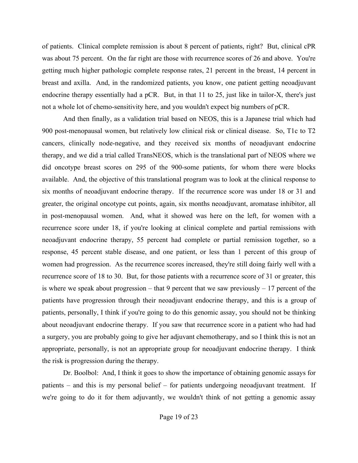of patients. Clinical complete remission is about 8 percent of patients, right? But, clinical cPR was about 75 percent. On the far right are those with recurrence scores of 26 and above. You're getting much higher pathologic complete response rates, 21 percent in the breast, 14 percent in breast and axilla. And, in the randomized patients, you know, one patient getting neoadjuvant endocrine therapy essentially had a pCR. But, in that 11 to 25, just like in tailor-X, there's just not a whole lot of chemo-sensitivity here, and you wouldn't expect big numbers of pCR.

And then finally, as a validation trial based on NEOS, this is a Japanese trial which had 900 post-menopausal women, but relatively low clinical risk or clinical disease. So, T1c to T2 cancers, clinically node-negative, and they received six months of neoadjuvant endocrine therapy, and we did a trial called TransNEOS, which is the translational part of NEOS where we did oncotype breast scores on 295 of the 900-some patients, for whom there were blocks available. And, the objective of this translational program was to look at the clinical response to six months of neoadjuvant endocrine therapy. If the recurrence score was under 18 or 31 and greater, the original oncotype cut points, again, six months neoadjuvant, aromatase inhibitor, all in post-menopausal women. And, what it showed was here on the left, for women with a recurrence score under 18, if you're looking at clinical complete and partial remissions with neoadjuvant endocrine therapy, 55 percent had complete or partial remission together, so a response, 45 percent stable disease, and one patient, or less than 1 percent of this group of women had progression. As the recurrence scores increased, they're still doing fairly well with a recurrence score of 18 to 30. But, for those patients with a recurrence score of 31 or greater, this is where we speak about progression – that 9 percent that we saw previously  $-17$  percent of the patients have progression through their neoadjuvant endocrine therapy, and this is a group of patients, personally, I think if you're going to do this genomic assay, you should not be thinking about neoadjuvant endocrine therapy. If you saw that recurrence score in a patient who had had a surgery, you are probably going to give her adjuvant chemotherapy, and so I think this is not an appropriate, personally, is not an appropriate group for neoadjuvant endocrine therapy. I think the risk is progression during the therapy.

Dr. Boolbol: And, I think it goes to show the importance of obtaining genomic assays for patients – and this is my personal belief – for patients undergoing neoadjuvant treatment. If we're going to do it for them adjuvantly, we wouldn't think of not getting a genomic assay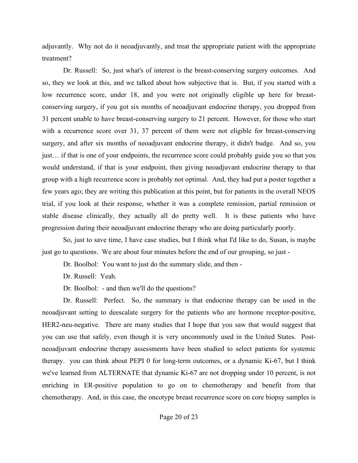adjuvantly. Why not do it neoadjuvantly, and treat the appropriate patient with the appropriate treatment?

Dr. Russell: So, just what's of interest is the breast-conserving surgery outcomes. And so, they we look at this, and we talked about how subjective that is. But, if you started with a low recurrence score, under 18, and you were not originally eligible up here for breastconserving surgery, if you got six months of neoadjuvant endocrine therapy, you dropped from 31 percent unable to have breast-conserving surgery to 21 percent. However, for those who start with a recurrence score over 31, 37 percent of them were not eligible for breast-conserving surgery, and after six months of neoadjuvant endocrine therapy, it didn't budge. And so, you just… if that is one of your endpoints, the recurrence score could probably guide you so that you would understand, if that is your endpoint, then giving neoadjuvant endocrine therapy to that group with a high recurrence score is probably not optimal. And, they had put a poster together a few years ago; they are writing this publication at this point, but for patients in the overall NEOS trial, if you look at their response, whether it was a complete remission, partial remission or stable disease clinically, they actually all do pretty well. It is these patients who have progression during their neoadjuvant endocrine therapy who are doing particularly poorly.

So, just to save time, I have case studies, but I think what I'd like to do, Susan, is maybe just go to questions. We are about four minutes before the end of our grouping, so just -

Dr. Boolbol: You want to just do the summary slide, and then -

Dr. Russell: Yeah.

Dr. Boolbol: - and then we'll do the questions?

Dr. Russell: Perfect. So, the summary is that endocrine therapy can be used in the neoadjuvant setting to deescalate surgery for the patients who are hormone receptor-positive, HER2-neu-negative. There are many studies that I hope that you saw that would suggest that you can use that safely, even though it is very uncommonly used in the United States. Postneoadjuvant endocrine therapy assessments have been studied to select patients for systemic therapy. you can think about PEPI 0 for long-term outcomes, or a dynamic Ki-67, but I think we've learned from ALTERNATE that dynamic Ki-67 are not dropping under 10 percent, is not enriching in ER-positive population to go on to chemotherapy and benefit from that chemotherapy. And, in this case, the oncotype breast recurrence score on core biopsy samples is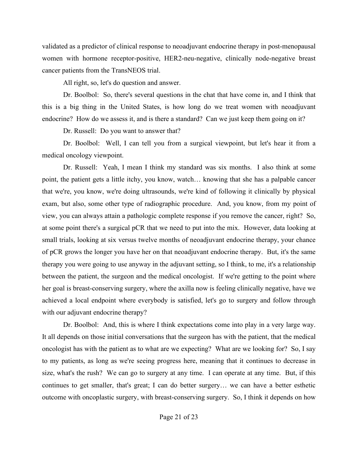validated as a predictor of clinical response to neoadjuvant endocrine therapy in post-menopausal women with hormone receptor-positive, HER2-neu-negative, clinically node-negative breast cancer patients from the TransNEOS trial.

All right, so, let's do question and answer.

Dr. Boolbol: So, there's several questions in the chat that have come in, and I think that this is a big thing in the United States, is how long do we treat women with neoadjuvant endocrine? How do we assess it, and is there a standard? Can we just keep them going on it?

Dr. Russell: Do you want to answer that?

Dr. Boolbol: Well, I can tell you from a surgical viewpoint, but let's hear it from a medical oncology viewpoint.

Dr. Russell: Yeah, I mean I think my standard was six months. I also think at some point, the patient gets a little itchy, you know, watch… knowing that she has a palpable cancer that we're, you know, we're doing ultrasounds, we're kind of following it clinically by physical exam, but also, some other type of radiographic procedure. And, you know, from my point of view, you can always attain a pathologic complete response if you remove the cancer, right? So, at some point there's a surgical pCR that we need to put into the mix. However, data looking at small trials, looking at six versus twelve months of neoadjuvant endocrine therapy, your chance of pCR grows the longer you have her on that neoadjuvant endocrine therapy. But, it's the same therapy you were going to use anyway in the adjuvant setting, so I think, to me, it's a relationship between the patient, the surgeon and the medical oncologist. If we're getting to the point where her goal is breast-conserving surgery, where the axilla now is feeling clinically negative, have we achieved a local endpoint where everybody is satisfied, let's go to surgery and follow through with our adjuvant endocrine therapy?

Dr. Boolbol: And, this is where I think expectations come into play in a very large way. It all depends on those initial conversations that the surgeon has with the patient, that the medical oncologist has with the patient as to what are we expecting? What are we looking for? So, I say to my patients, as long as we're seeing progress here, meaning that it continues to decrease in size, what's the rush? We can go to surgery at any time. I can operate at any time. But, if this continues to get smaller, that's great; I can do better surgery… we can have a better esthetic outcome with oncoplastic surgery, with breast-conserving surgery. So, I think it depends on how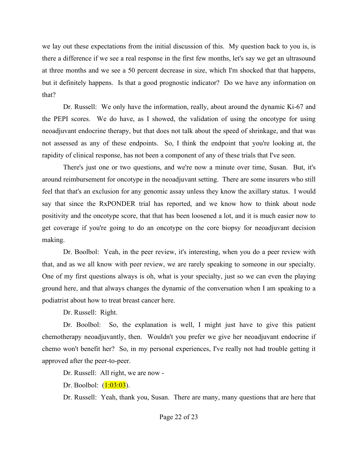we lay out these expectations from the initial discussion of this. My question back to you is, is there a difference if we see a real response in the first few months, let's say we get an ultrasound at three months and we see a 50 percent decrease in size, which I'm shocked that that happens, but it definitely happens. Is that a good prognostic indicator? Do we have any information on that?

Dr. Russell: We only have the information, really, about around the dynamic Ki-67 and the PEPI scores. We do have, as I showed, the validation of using the oncotype for using neoadjuvant endocrine therapy, but that does not talk about the speed of shrinkage, and that was not assessed as any of these endpoints. So, I think the endpoint that you're looking at, the rapidity of clinical response, has not been a component of any of these trials that I've seen.

There's just one or two questions, and we're now a minute over time, Susan. But, it's around reimbursement for oncotype in the neoadjuvant setting. There are some insurers who still feel that that's an exclusion for any genomic assay unless they know the axillary status. I would say that since the RxPONDER trial has reported, and we know how to think about node positivity and the oncotype score, that that has been loosened a lot, and it is much easier now to get coverage if you're going to do an oncotype on the core biopsy for neoadjuvant decision making.

Dr. Boolbol: Yeah, in the peer review, it's interesting, when you do a peer review with that, and as we all know with peer review, we are rarely speaking to someone in our specialty. One of my first questions always is oh, what is your specialty, just so we can even the playing ground here, and that always changes the dynamic of the conversation when I am speaking to a podiatrist about how to treat breast cancer here.

Dr. Russell: Right.

Dr. Boolbol: So, the explanation is well, I might just have to give this patient chemotherapy neoadjuvantly, then. Wouldn't you prefer we give her neoadjuvant endocrine if chemo won't benefit her? So, in my personal experiences, I've really not had trouble getting it approved after the peer-to-peer.

Dr. Russell: All right, we are now -

Dr. Boolbol:  $(1:03:03)$ .

Dr. Russell: Yeah, thank you, Susan. There are many, many questions that are here that